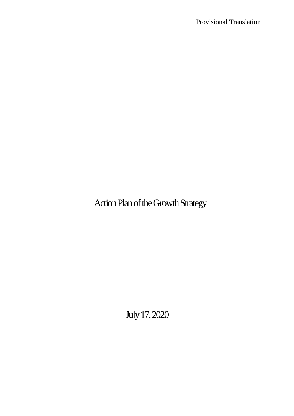Action Plan of the Growth Strategy

July17, 2020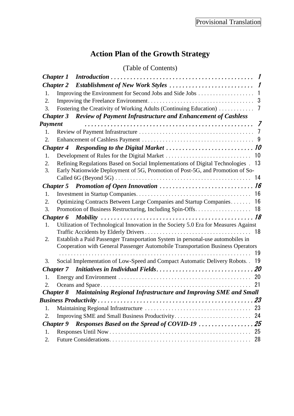# **Action Plan of the Growth Strategy**

# (Table of Contents)

| <b>Chapter 1</b> |                  |                                                                                                                                                                    |                |
|------------------|------------------|--------------------------------------------------------------------------------------------------------------------------------------------------------------------|----------------|
|                  | <b>Chapter 2</b> |                                                                                                                                                                    |                |
| 1.               |                  |                                                                                                                                                                    | $\overline{1}$ |
| 2.               |                  |                                                                                                                                                                    |                |
| 3.               |                  | Fostering the Creativity of Working Adults (Continuing Education)                                                                                                  | 7              |
|                  | <b>Chapter 3</b> | <b>Review of Payment Infrastructure and Enhancement of Cashless</b>                                                                                                |                |
| Payment          |                  |                                                                                                                                                                    | - 7            |
| 1.               |                  |                                                                                                                                                                    |                |
| 2.               |                  |                                                                                                                                                                    |                |
|                  |                  |                                                                                                                                                                    |                |
| 1.               |                  |                                                                                                                                                                    | 10             |
| 2.<br>3.         |                  | Refining Regulations Based on Social Implementations of Digital Technologies .<br>Early Nationwide Deployment of 5G, Promotion of Post-5G, and Promotion of So-    | 13             |
|                  |                  |                                                                                                                                                                    | 14             |
|                  |                  |                                                                                                                                                                    |                |
| 1.               |                  |                                                                                                                                                                    |                |
| 2.               |                  | Optimizing Contracts Between Large Companies and Startup Companies                                                                                                 | 16             |
| 3.               |                  |                                                                                                                                                                    |                |
|                  | <b>Chapter 6</b> |                                                                                                                                                                    |                |
| 1.               |                  | Utilization of Technological Innovation in the Society 5.0 Era for Measures Against                                                                                |                |
|                  |                  |                                                                                                                                                                    | 18             |
| 2.               |                  | Establish a Paid Passenger Transportation System in personal-use automobiles in<br>Cooperation with General Passenger Automobile Transportation Business Operators |                |
|                  |                  |                                                                                                                                                                    | 19             |
| 3.               |                  | Social Implementation of Low-Speed and Compact Automatic Delivery Robots. .                                                                                        | 19             |
|                  | <b>Chapter</b> 7 |                                                                                                                                                                    |                |
| 1.               |                  |                                                                                                                                                                    | 20             |
| 2.               |                  |                                                                                                                                                                    | 21             |
|                  |                  | Chapter 8 Maintaining Regional Infrastructure and Improving SME and Small                                                                                          |                |
|                  |                  |                                                                                                                                                                    |                |
| 1.               |                  |                                                                                                                                                                    | 23             |
| 2.               |                  | Improving SME and Small Business Productivity                                                                                                                      | 24             |
|                  | <b>Chapter 9</b> |                                                                                                                                                                    |                |
| 1.               |                  |                                                                                                                                                                    | 25             |
| 2.               |                  |                                                                                                                                                                    | 28             |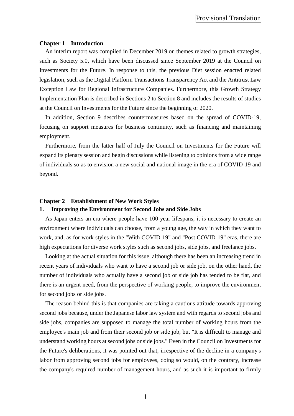#### <span id="page-2-0"></span>**Chapter 1 Introduction**

An interim report was compiled in December 2019 on themes related to growth strategies, such as Society 5.0, which have been discussed since September 2019 at the Council on Investments for the Future. In response to this, the previous Diet session enacted related legislation, such as the Digital Platform Transactions Transparency Act and the Antitrust Law Exception Law for Regional Infrastructure Companies. Furthermore, this Growth Strategy Implementation Plan is described in Sections 2 to Section 8 and includes the results of studies at the Council on Investments for the Future since the beginning of 2020.

In addition, Section 9 describes countermeasures based on the spread of COVID-19, focusing on support measures for business continuity, such as financing and maintaining employment.

Furthermore, from the latter half of July the Council on Investments for the Future will expand its plenary session and begin discussions while listening to opinions from a wide range of individuals so as to envision a new social and national image in the era of COVID-19 and beyond.

#### <span id="page-2-1"></span>**Chapter 2 Establishment of New Work Styles**

#### <span id="page-2-2"></span>**1. Improving the Environment for Second Jobs and Side Jobs**

As Japan enters an era where people have 100-year lifespans, it is necessary to create an environment where individuals can choose, from a young age, the way in which they want to work, and, as for work styles in the "With COVID-19" and "Post COVID-19" eras, there are high expectations for diverse work styles such as second jobs, side jobs, and freelance jobs.

Looking at the actual situation for this issue, although there has been an increasing trend in recent years of individuals who want to have a second job or side job, on the other hand, the number of individuals who actually have a second job or side job has tended to be flat, and there is an urgent need, from the perspective of working people, to improve the environment for second jobs or side jobs.

The reason behind this is that companies are taking a cautious attitude towards approving second jobs because, under the Japanese labor law system and with regards to second jobs and side jobs, companies are supposed to manage the total number of working hours from the employee's main job and from their second job or side job, but "It is difficult to manage and understand working hours at second jobs or side jobs." Even in the Council on Investments for the Future's deliberations, it was pointed out that, irrespective of the decline in a company's labor from approving second jobs for employees, doing so would, on the contrary, increase the company's required number of management hours, and as such it is important to firmly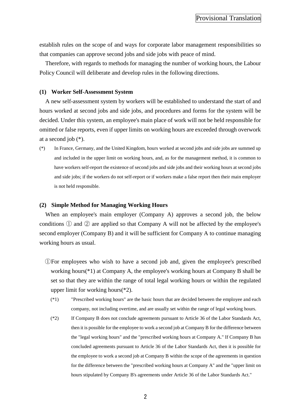establish rules on the scope of and ways for corporate labor management responsibilities so that companies can approve second jobs and side jobs with peace of mind.

Therefore, with regards to methods for managing the number of working hours, the Labour Policy Council will deliberate and develop rules in the following directions.

#### **(1) Worker Self-Assessment System**

A new self-assessment system by workers will be established to understand the start of and hours worked at second jobs and side jobs, and procedures and forms for the system will be decided. Under this system, an employee's main place of work will not be held responsible for omitted or false reports, even if upper limits on working hours are exceeded through overwork at a second job (\*).

(\*) In France, Germany, and the United Kingdom, hours worked at second jobs and side jobs are summed up and included in the upper limit on working hours, and, as for the management method, it is common to have workers self-report the existence of second jobs and side jobs and their working hours at second jobs and side jobs; if the workers do not self-report or if workers make a false report then their main employer is not held responsible.

#### **(2) Simple Method for Managing Working Hours**

When an employee's main employer (Company A) approves a second job, the below conditions ① and ② are applied so that Company A will not be affected by the employee's second employer (Company B) and it will be sufficient for Company A to continue managing working hours as usual.

- ①For employees who wish to have a second job and, given the employee's prescribed working hours(\*1) at Company A, the employee's working hours at Company B shall be set so that they are within the range of total legal working hours or within the regulated upper limit for working hours(\*2).
	- (\*1) "Prescribed working hours" are the basic hours that are decided between the employee and each company, not including overtime, and are usually set within the range of legal working hours.
	- (\*2) If Company B does not conclude agreements pursuant to Article 36 of the Labor Standards Act, then it is possible for the employee to work a second job at Company B for the difference between the "legal working hours" and the "prescribed working hours at Company A." If Company B has concluded agreements pursuant to Article 36 of the Labor Standards Act, then it is possible for the employee to work a second job at Company B within the scope of the agreements in question for the difference between the "prescribed working hours at Company A" and the "upper limit on hours stipulated by Company B's agreements under Article 36 of the Labor Standards Act."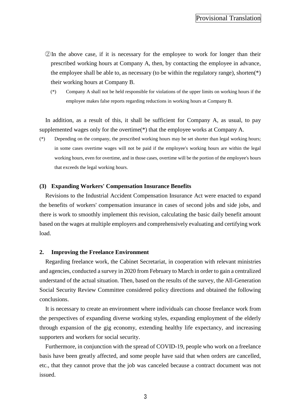### Provisional Translation

- ②In the above case, if it is necessary for the employee to work for longer than their prescribed working hours at Company A, then, by contacting the employee in advance, the employee shall be able to, as necessary (to be within the regulatory range), shorten(\*) their working hours at Company B.
	- (\*) Company A shall not be held responsible for violations of the upper limits on working hours if the employee makes false reports regarding reductions in working hours at Company B.

In addition, as a result of this, it shall be sufficient for Company A, as usual, to pay supplemented wages only for the overtime(\*) that the employee works at Company A.

(\*) Depending on the company, the prescribed working hours may be set shorter than legal working hours; in some cases overtime wages will not be paid if the employee's working hours are within the legal working hours, even for overtime, and in those cases, overtime will be the portion of the employee's hours that exceeds the legal working hours.

#### **(3) Expanding Workers' Compensation Insurance Benefits**

Revisions to the Industrial Accident Compensation Insurance Act were enacted to expand the benefits of workers' compensation insurance in cases of second jobs and side jobs, and there is work to smoothly implement this revision, calculating the basic daily benefit amount based on the wages at multiple employers and comprehensively evaluating and certifying work load.

#### <span id="page-4-0"></span>**2. Improving the Freelance Environment**

Regarding freelance work, the Cabinet Secretariat, in cooperation with relevant ministries and agencies, conducted a survey in 2020 from February to March in order to gain a centralized understand of the actual situation. Then, based on the results of the survey, the All-Generation Social Security Review Committee considered policy directions and obtained the following conclusions.

It is necessary to create an environment where individuals can choose freelance work from the perspectives of expanding diverse working styles, expanding employment of the elderly through expansion of the gig economy, extending healthy life expectancy, and increasing supporters and workers for social security.

Furthermore, in conjunction with the spread of COVID-19, people who work on a freelance basis have been greatly affected, and some people have said that when orders are cancelled, etc., that they cannot prove that the job was canceled because a contract document was not issued.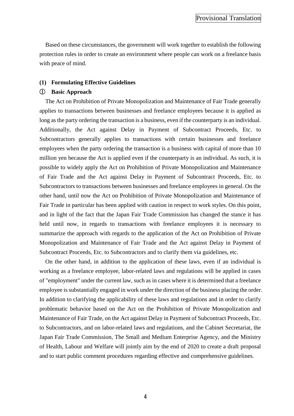Based on these circumstances, the government will work together to establish the following protection rules in order to create an environment where people can work on a freelance basis with peace of mind.

#### **(1) Formulating Effective Guidelines**

#### ① **Basic Approach**

The Act on Prohibition of Private Monopolization and Maintenance of Fair Trade generally applies to transactions between businesses and freelance employees because it is applied as long as the party ordering the transaction is a business, even if the counterparty is an individual. Additionally, the Act against Delay in Payment of Subcontract Proceeds, Etc. to Subcontractors generally applies to transactions with certain businesses and freelance employees when the party ordering the transaction is a business with capital of more than 10 million yen because the Act is applied even if the counterparty is an individual. As such, it is possible to widely apply the Act on Prohibition of Private Monopolization and Maintenance of Fair Trade and the Act against Delay in Payment of Subcontract Proceeds, Etc. to Subcontractors to transactions between businesses and freelance employees in general. On the other hand, until now the Act on Prohibition of Private Monopolization and Maintenance of Fair Trade in particular has been applied with caution in respect to work styles. On this point, and in light of the fact that the Japan Fair Trade Commission has changed the stance it has held until now, in regards to transactions with freelance employees it is necessary to summarize the approach with regards to the application of the Act on Prohibition of Private Monopolization and Maintenance of Fair Trade and the Act against Delay in Payment of Subcontract Proceeds, Etc. to Subcontractors and to clarify them via guidelines, etc.

On the other hand, in addition to the application of these laws, even if an individual is working as a freelance employee, labor-related laws and regulations will be applied in cases of "employment" under the current law, such as in cases where it is determined that a freelance employee is substantially engaged in work under the direction of the business placing the order. In addition to clarifying the applicability of these laws and regulations and in order to clarify problematic behavior based on the Act on the Prohibition of Private Monopolization and Maintenance of Fair Trade, on the Act against Delay in Payment of Subcontract Proceeds, Etc. to Subcontractors, and on labor-related laws and regulations, and the Cabinet Secretariat, the Japan Fair Trade Commission, The Small and Medium Enterprise Agency, and the Ministry of Health, Labour and Welfare will jointly aim by the end of 2020 to create a draft proposal and to start public comment procedures regarding effective and comprehensive guidelines.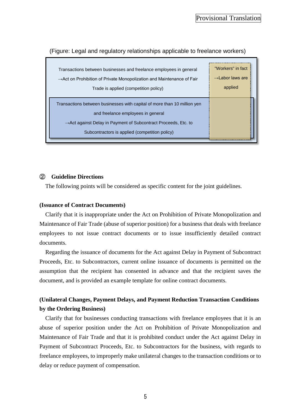| Transactions between businesses and freelance employees in general                 | "Workers" in fact            |
|------------------------------------------------------------------------------------|------------------------------|
| $\rightarrow$ Act on Prohibition of Private Monopolization and Maintenance of Fair | $\rightarrow$ Labor laws are |
| Trade is applied (competition policy)                                              | applied                      |
|                                                                                    |                              |
| Transactions between businesses with capital of more than 10 million yen           |                              |
| and freelance employees in general                                                 |                              |
| $\rightarrow$ Act against Delay in Payment of Subcontract Proceeds, Etc. to        |                              |
| Subcontractors is applied (competition policy)                                     |                              |
|                                                                                    |                              |

(Figure: Legal and regulatory relationships applicable to freelance workers)

#### ② **Guideline Directions**

The following points will be considered as specific content for the joint guidelines.

#### **(Issuance of Contract Documents)**

Clarify that it is inappropriate under the Act on Prohibition of Private Monopolization and Maintenance of Fair Trade (abuse of superior position) for a business that deals with freelance employees to not issue contract documents or to issue insufficiently detailed contract documents.

Regarding the issuance of documents for the Act against Delay in Payment of Subcontract Proceeds, Etc. to Subcontractors, current online issuance of documents is permitted on the assumption that the recipient has consented in advance and that the recipient saves the document, and is provided an example template for online contract documents.

# **(Unilateral Changes, Payment Delays, and Payment Reduction Transaction Conditions by the Ordering Business)**

Clarify that for businesses conducting transactions with freelance employees that it is an abuse of superior position under the Act on Prohibition of Private Monopolization and Maintenance of Fair Trade and that it is prohibited conduct under the Act against Delay in Payment of Subcontract Proceeds, Etc. to Subcontractors for the business, with regards to freelance employees, to improperly make unilateral changes to the transaction conditions or to delay or reduce payment of compensation.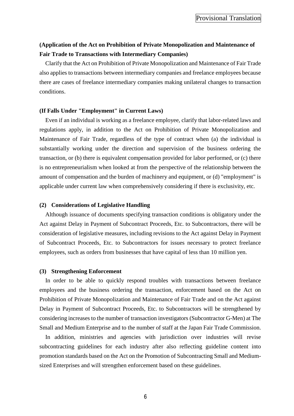# **(Application of the Act on Prohibition of Private Monopolization and Maintenance of Fair Trade to Transactions with Intermediary Companies)**

Clarify that the Act on Prohibition of Private Monopolization and Maintenance of Fair Trade also applies to transactions between intermediary companies and freelance employees because there are cases of freelance intermediary companies making unilateral changes to transaction conditions.

#### **(If Falls Under "Employment" in Current Laws)**

Even if an individual is working as a freelance employee, clarify that labor-related laws and regulations apply, in addition to the Act on Prohibition of Private Monopolization and Maintenance of Fair Trade, regardless of the type of contract when (a) the individual is substantially working under the direction and supervision of the business ordering the transaction, or (b) there is equivalent compensation provided for labor performed, or (c) there is no entrepreneurialism when looked at from the perspective of the relationship between the amount of compensation and the burden of machinery and equipment, or (d) "employment" is applicable under current law when comprehensively considering if there is exclusivity, etc.

#### **(2) Considerations of Legislative Handling**

Although issuance of documents specifying transaction conditions is obligatory under the Act against Delay in Payment of Subcontract Proceeds, Etc. to Subcontractors, there will be consideration of legislative measures, including revisions to the Act against Delay in Payment of Subcontract Proceeds, Etc. to Subcontractors for issues necessary to protect freelance employees, such as orders from businesses that have capital of less than 10 million yen.

#### **(3) Strengthening Enforcement**

In order to be able to quickly respond troubles with transactions between freelance employees and the business ordering the transaction, enforcement based on the Act on Prohibition of Private Monopolization and Maintenance of Fair Trade and on the Act against Delay in Payment of Subcontract Proceeds, Etc. to Subcontractors will be strengthened by considering increases to the number of transaction investigators (Subcontractor G-Men) at The Small and Medium Enterprise and to the number of staff at the Japan Fair Trade Commission.

In addition, ministries and agencies with jurisdiction over industries will revise subcontracting guidelines for each industry after also reflecting guideline content into promotion standards based on the Act on the Promotion of Subcontracting Small and Mediumsized Enterprises and will strengthen enforcement based on these guidelines.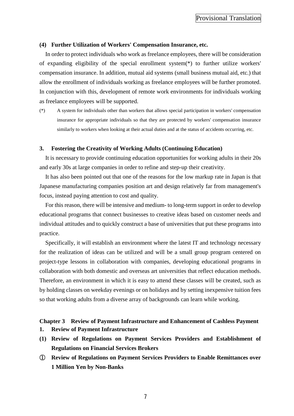#### **(4) Further Utilization of Workers' Compensation Insurance, etc.**

In order to protect individuals who work as freelance employees, there will be consideration of expanding eligibility of the special enrollment system(\*) to further utilize workers' compensation insurance. In addition, mutual aid systems (small business mutual aid, etc.) that allow the enrollment of individuals working as freelance employees will be further promoted. In conjunction with this, development of remote work environments for individuals working as freelance employees will be supported.

(\*) A system for individuals other than workers that allows special participation in workers' compensation insurance for appropriate individuals so that they are protected by workers' compensation insurance similarly to workers when looking at their actual duties and at the status of accidents occurring, etc.

#### <span id="page-8-0"></span>**3. Fostering the Creativity of Working Adults (Continuing Education)**

It is necessary to provide continuing education opportunities for working adults in their 20s and early 30s at large companies in order to refine and step-up their creativity.

It has also been pointed out that one of the reasons for the low markup rate in Japan is that Japanese manufacturing companies position art and design relatively far from management's focus, instead paying attention to cost and quality.

For this reason, there will be intensive and medium- to long-term support in order to develop educational programs that connect businesses to creative ideas based on customer needs and individual attitudes and to quickly construct a base of universities that put these programs into practice.

Specifically, it will establish an environment where the latest IT and technology necessary for the realization of ideas can be utilized and will be a small group program centered on project-type lessons in collaboration with companies, developing educational programs in collaboration with both domestic and overseas art universities that reflect education methods. Therefore, an environment in which it is easy to attend these classes will be created, such as by holding classes on weekday evenings or on holidays and by setting inexpensive tuition fees so that working adults from a diverse array of backgrounds can learn while working.

# <span id="page-8-1"></span>**Chapter 3 Review of Payment Infrastructure and Enhancement of Cashless Payment**

- <span id="page-8-2"></span>**1. Review of Payment Infrastructure**
- **(1) Review of Regulations on Payment Services Providers and Establishment of Regulations on Financial Services Brokers**
- ① **Review of Regulations on Payment Services Providers to Enable Remittances over 1 Million Yen by Non-Banks**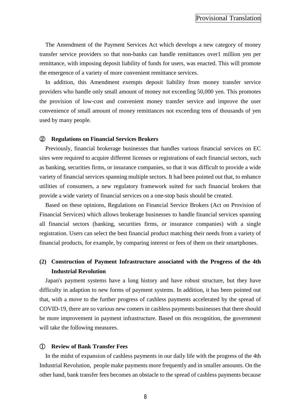The Amendment of the Payment Services Act which develops a new category of money transfer service providers so that non-banks can handle remittances over1 million yen per remittance, with imposing deposit liability of funds for users, was enacted. This will promote the emergence of a variety of more convenient remittance services.

In addition, this Amendment exempts deposit liability from money transfer service providers who handle only small amount of money not exceeding 50,000 yen. This promotes the provision of low-cost and convenient money transfer service and improve the user convenience of small amount of money remittances not exceeding tens of thousands of yen used by many people.

#### ② **Regulations on Financial Services Brokers**

Previously, financial brokerage businesses that handles various financial services on EC sites were required to acquire different licenses or registrations of each financial sectors, such as banking, securities firms, or insurance companies, so that it was difficult to provide a wide variety of financial services spanning multiple sectors. It had been pointed out that, to enhance utilities of consumers, a new regulatory framework suited for such financial brokers that provide a wide variety of financial services on a one-stop basis should be created.

Based on these opinions, Regulations on Financial Service Brokers (Act on Provision of Financial Services) which allows brokerage businesses to handle financial services spanning all financial sectors (banking, securities firms, or insurance companies) with a single registration. Users can select the best financial product matching their needs from a variety of financial products, for example, by comparing interest or fees of them on their smartphones.

# **(2) Construction of Payment Infrastructure associated with the Progress of the 4th Industrial Revolution**

Japan's payment systems have a long history and have robust structure, but they have difficulty in adaption to new forms of payment systems. In addition, it has been pointed out that, with a move to the further progress of cashless payments accelerated by the spread of COVID-19, there are so various new comers in cashless payments businesses that there should be more improvement in payment infrastructure. Based on this recognition, the government will take the following measures.

#### ① **Review of Bank Transfer Fees**

In the midst of expansion of cashless payments in our daily life with the progress of the 4th Industrial Revolution, people make payments more frequently and in smaller amounts. On the other hand, bank transfer fees becomes an obstacle to the spread of cashless payments because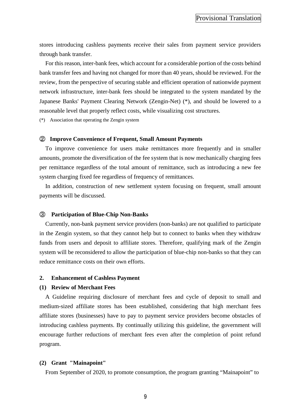stores introducing cashless payments receive their sales from payment service providers through bank transfer.

For this reason, inter-bank fees, which account for a considerable portion of the costs behind bank transfer fees and having not changed for more than 40 years, should be reviewed. For the review, from the perspective of securing stable and efficient operation of nationwide payment network infrastructure, inter-bank fees should be integrated to the system mandated by the Japanese Banks' Payment Clearing Network (Zengin-Net) (\*), and should be lowered to a reasonable level that properly reflect costs, while visualizing cost structures.

(\*) Association that operating the Zengin system

#### ② **Improve Convenience of Frequent, Small Amount Payments**

To improve convenience for users make remittances more frequently and in smaller amounts, promote the diversification of the fee system that is now mechanically charging fees per remittance regardless of the total amount of remittance, such as introducing a new fee system charging fixed fee regardless of frequency of remittances.

In addition, construction of new settlement system focusing on frequent, small amount payments will be discussed.

#### ③ **Participation of Blue-Chip Non-Banks**

Currently, non-bank payment service providers (non-banks) are not qualified to participate in the Zengin system, so that they cannot help but to connect to banks when they withdraw funds from users and deposit to affiliate stores. Therefore, qualifying mark of the Zengin system will be reconsidered to allow the participation of blue-chip non-banks so that they can reduce remittance costs on their own efforts.

#### <span id="page-10-0"></span>**2. Enhancement of Cashless Payment**

#### **(1) Review of Merchant Fees**

A Guideline requiring disclosure of merchant fees and cycle of deposit to small and medium-sized affiliate stores has been established, considering that high merchant fees affiliate stores (businesses) have to pay to payment service providers become obstacles of introducing cashless payments. By continually utilizing this guideline, the government will encourage further reductions of merchant fees even after the completion of point refund program.

#### **(2) Grant "Mainapoint"**

From September of 2020, to promote consumption, the program granting "Mainapoint" to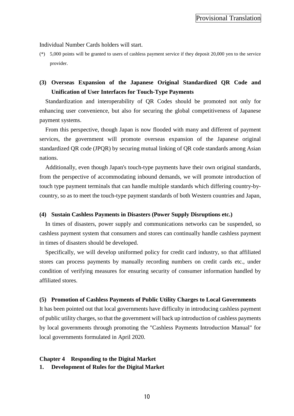#### Individual Number Cards holders will start.

(\*) 5,000 points will be granted to users of cashless payment service if they deposit 20,000 yen to the service provider.

# **(3) Overseas Expansion of the Japanese Original Standardized QR Code and Unification of User Interfaces for Touch-Type Payments**

Standardization and interoperability of QR Codes should be promoted not only for enhancing user convenience, but also for securing the global competitiveness of Japanese payment systems.

From this perspective, though Japan is now flooded with many and different of payment services, the government will promote overseas expansion of the Japanese original standardized QR code (JPQR) by securing mutual linking of QR code standards among Asian nations.

Additionally, even though Japan's touch-type payments have their own original standards, from the perspective of accommodating inbound demands, we will promote introduction of touch type payment terminals that can handle multiple standards which differing country-bycountry, so as to meet the touch-type payment standards of both Western countries and Japan,

#### **(4) Sustain Cashless Payments in Disasters (Power Supply Disruptions etc.)**

In times of disasters, power supply and communications networks can be suspended, so cashless payment system that consumers and stores can continually handle cashless payment in times of disasters should be developed.

Specifically, we will develop uniformed policy for credit card industry, so that affiliated stores can process payments by manually recording numbers on credit cards etc., under condition of verifying measures for ensuring security of consumer information handled by affiliated stores.

#### **(5) Promotion of Cashless Payments of Public Utility Charges to Local Governments**

It has been pointed out that local governments have difficulty in introducing cashless payment of public utility charges, so that the government will back up introduction of cashless payments by local governments through promoting the "Cashless Payments Introduction Manual" for local governments formulated in April 2020.

#### <span id="page-11-0"></span>**Chapter 4 Responding to the Digital Market**

<span id="page-11-1"></span>**1. Development of Rules for the Digital Market**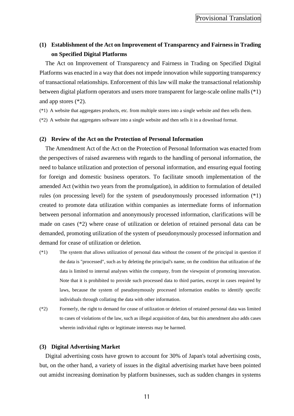# **(1) Establishment of the Act on Improvement of Transparency and Fairness in Trading on Specified Digital Platforms**

The Act on Improvement of Transparency and Fairness in Trading on Specified Digital Platforms was enacted in a way that does not impede innovation while supporting transparency of transactional relationships. Enforcement of this law will make the transactional relationship between digital platform operators and users more transparent for large-scale online malls (\*1) and app stores (\*2).

- (\*1) A website that aggregates products, etc. from multiple stores into a single website and then sells them.
- (\*2) A website that aggregates software into a single website and then sells it in a download format.

#### **(2) Review of the Act on the Protection of Personal Information**

The Amendment Act of the Act on the Protection of Personal Information was enacted from the perspectives of raised awareness with regards to the handling of personal information, the need to balance utilization and protection of personal information, and ensuring equal footing for foreign and domestic business operators. To facilitate smooth implementation of the amended Act (within two years from the promulgation), in addition to formulation of detailed rules (on processing level) for the system of pseudonymously processed information (\*1) created to promote data utilization within companies as intermediate forms of information between personal information and anonymously processed information, clarifications will be made on cases (\*2) where cease of utilization or deletion of retained personal data can be demanded, promoting utilization of the system of pseudonymously processed information and demand for cease of utilization or deletion.

- (\*1) The system that allows utilization of personal data without the consent of the principal in question if the data is "processed", such as by deleting the principal's name, on the condition that utilization of the data is limited to internal analyses within the company, from the viewpoint of promoting innovation. Note that it is prohibited to provide such processed data to third parties, except in cases required by laws, because the system of pseudonymously processed information enables to identify specific individuals through collating the data with other information.
- (\*2) Formerly, the right to demand for cease of utilization or deletion of retained personal data was limited to cases of violations of the law, such as illegal acquisition of data, but this amendment also adds cases wherein individual rights or legitimate interests may be harmed.

#### **(3) Digital Advertising Market**

Digital advertising costs have grown to account for 30% of Japan's total advertising costs, but, on the other hand, a variety of issues in the digital advertising market have been pointed out amidst increasing domination by platform businesses, such as sudden changes in systems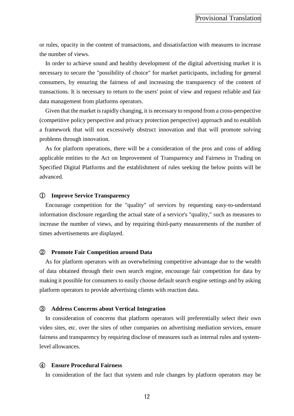or rules, opacity in the content of transactions, and dissatisfaction with measures to increase the number of views.

In order to achieve sound and healthy development of the digital advertising market it is necessary to secure the "possibility of choice" for market participants, including for general consumers, by ensuring the fairness of and increasing the transparency of the content of transactions. It is necessary to return to the users' point of view and request reliable and fair data management from platforms operators.

Given that the market is rapidly changing, it is necessary to respond from a cross-perspective (competitive policy perspective and privacy protection perspective) approach and to establish a framework that will not excessively obstruct innovation and that will promote solving problems through innovation.

As for platform operations, there will be a consideration of the pros and cons of adding applicable entities to the Act on Improvement of Transparency and Fairness in Trading on Specified Digital Platforms and the establishment of rules seeking the below points will be advanced.

#### ① **Improve Service Transparency**

Encourage competition for the "quality" of services by requesting easy-to-understand information disclosure regarding the actual state of a service's "quality," such as measures to increase the number of views, and by requiring third-party measurements of the number of times advertisements are displayed.

#### ② **Promote Fair Competition around Data**

As for platform operators with an overwhelming competitive advantage due to the wealth of data obtained through their own search engine, encourage fair competition for data by making it possible for consumers to easily choose default search engine settings and by asking platform operators to provide advertising clients with reaction data.

#### ③ **Address Concerns about Vertical Integration**

In consideration of concerns that platform operators will preferentially select their own video sites, etc. over the sites of other companies on advertising mediation services, ensure fairness and transparency by requiring disclose of measures such as internal rules and systemlevel allowances.

#### ④ **Ensure Procedural Fairness**

In consideration of the fact that system and rule changes by platform operators may be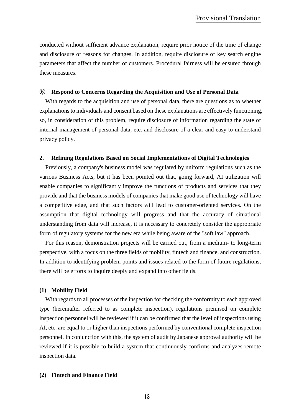conducted without sufficient advance explanation, require prior notice of the time of change and disclosure of reasons for changes. In addition, require disclosure of key search engine parameters that affect the number of customers. Procedural fairness will be ensured through these measures.

#### ⑤ **Respond to Concerns Regarding the Acquisition and Use of Personal Data**

With regards to the acquisition and use of personal data, there are questions as to whether explanations to individuals and consent based on these explanations are effectively functioning, so, in consideration of this problem, require disclosure of information regarding the state of internal management of personal data, etc. and disclosure of a clear and easy-to-understand privacy policy.

#### <span id="page-14-0"></span>**2. Refining Regulations Based on Social Implementations of Digital Technologies**

Previously, a company's business model was regulated by uniform regulations such as the various Business Acts, but it has been pointed out that, going forward, AI utilization will enable companies to significantly improve the functions of products and services that they provide and that the business models of companies that make good use of technology will have a competitive edge, and that such factors will lead to customer-oriented services. On the assumption that digital technology will progress and that the accuracy of situational understanding from data will increase, it is necessary to concretely consider the appropriate form of regulatory systems for the new era while being aware of the "soft law" approach.

For this reason, demonstration projects will be carried out, from a medium- to long-term perspective, with a focus on the three fields of mobility, fintech and finance, and construction. In addition to identifying problem points and issues related to the form of future regulations, there will be efforts to inquire deeply and expand into other fields.

#### **(1) Mobility Field**

With regards to all processes of the inspection for checking the conformity to each approved type (hereinafter referred to as complete inspection), regulations premised on complete inspection personnel will be reviewed if it can be confirmed that the level of inspections using AI, etc. are equal to or higher than inspections performed by conventional complete inspection personnel. In conjunction with this, the system of audit by Japanese approval authority will be reviewed if it is possible to build a system that continuously confirms and analyzes remote inspection data.

#### **(2) Fintech and Finance Field**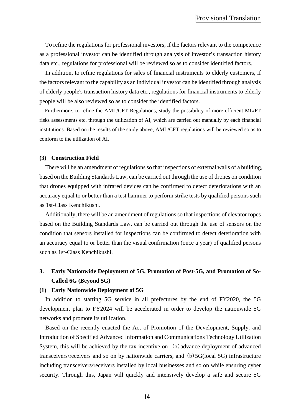To refine the regulations for professional investors, if the factors relevant to the competence as a professional investor can be identified through analysis of investor's transaction history data etc., regulations for professional will be reviewed so as to consider identified factors.

In addition, to refine regulations for sales of financial instruments to elderly customers, if the factors relevant to the capability as an individual investor can be identified through analysis of elderly people's transaction history data etc., regulations for financial instruments to elderly people will be also reviewed so as to consider the identified factors.

Furthermore, to refine the AML/CFT Regulations, study the possibility of more efficient ML/FT risks assessments etc. through the utilization of AI, which are carried out manually by each financial institutions. Based on the results of the study above, AML/CFT regulations will be reviewed so as to conform to the utilization of AI.

#### **(3) Construction Field**

There will be an amendment of regulations so that inspections of external walls of a building, based on the Building Standards Law, can be carried out through the use of drones on condition that drones equipped with infrared devices can be confirmed to detect deteriorations with an accuracy equal to or better than a test hammer to perform strike tests by qualified persons such as 1st-Class Kenchikushi.

Additionally, there will be an amendment of regulations so that inspections of elevator ropes based on the Building Standards Law, can be carried out through the use of sensors on the condition that sensors installed for inspections can be confirmed to detect deterioration with an accuracy equal to or better than the visual confirmation (once a year) of qualified persons such as 1st-Class Kenchikushi.

# <span id="page-15-0"></span>**3. Early Nationwide Deployment of 5G, Promotion of Post-5G, and Promotion of So-Called 6G (Beyond 5G)**

#### **(1) Early Nationwide Deployment of 5G**

In addition to starting 5G service in all prefectures by the end of FY2020, the 5G development plan to FY2024 will be accelerated in order to develop the nationwide 5G networks and promote its utilization.

Based on the recently enacted the Act of Promotion of the Development, Supply, and Introduction of Specified Advanced Information and Communications Technology Utilization System, this will be achieved by the tax incentive on  $(a)$  advance deployment of advanced transceivers/receivers and so on by nationwide carriers, and (b)5G(local 5G) infrastructure including transceivers/receivers installed by local businesses and so on while ensuring cyber security. Through this, Japan will quickly and intensively develop a safe and secure 5G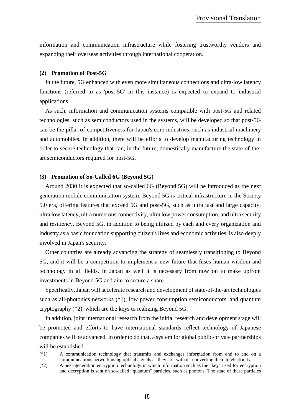information and communication infrastructure while fostering trustworthy vendors and expanding their overseas activities through international cooperation.

#### **(2) Promotion of Post-5G**

In the future, 5G enhanced with even more simultaneous connections and ultra-low latency functions (referred to as 'post-5G' in this instance) is expected to expand to industrial applications.

As such, information and communication systems compatible with post-5G and related technologies, such as semiconductors used in the systems, will be developed so that post-5G can be the pillar of competitiveness for Japan's core industries, such as industrial machinery and automobiles. In addition, there will be efforts to develop manufacturing technology in order to secure technology that can, in the future, domestically manufacture the state-of-theart semiconductors required for post-5G.

#### **(3) Promotion of So-Called 6G (Beyond 5G)**

Around 2030 it is expected that so-called 6G (Beyond 5G) will be introduced as the next generation mobile communication system. Beyond 5G is critical infrastructure in the Society 5.0 era, offering features that exceed 5G and post-5G, such as ultra fast and large capacity, ultra low latency, ultra numerous connectivity, ultra low power consumption, and ultra security and resiliency. Beyond 5G, in addition to being utilized by each and every organization and industry as a basic foundation supporting citizen's lives and economic activities, is also deeply involved in Japan's security.

Other countries are already advancing the strategy of seamlessly transitioning to Beyond 5G, and it will be a competition to implement a new future that fuses human wisdom and technology in all fields. In Japan as well it is necessary from now on to make upfront investments in Beyond 5G and aim to secure a share.

Specifically, Japan will accelerate research and development of state-of-the-art technologies such as all-photonics networks (\*1), low power consumption semiconductors, and quantum cryptography (\*2), which are the keys to realizing Beyond 5G.

In addition, joint international research from the initial research and development stage will be promoted and efforts to have international standards reflect technology of Japanese companies will be advanced. In order to do that, a system for global public-private partnerships will be established.

<sup>(\*1)</sup> A communication technology that transmits and exchanges information from end to end on a communications network using optical signals as they are, without converting them to electricity.

<sup>(\*2)</sup> A next-generation encryption technology in which information such as the "key" used for encryption and decryption is sent on so-called "quantum" particles, such as photons. The state of these particles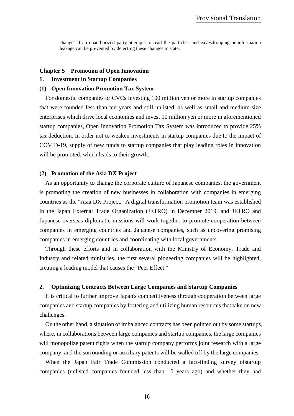changes if an unauthorized party attempts to read the particles, and eavesdropping or information leakage can be prevented by detecting these changes in state.

#### <span id="page-17-0"></span>**Chapter 5 Promotion of Open Innovation**

#### <span id="page-17-1"></span>**1. Investment in Startup Companies**

#### **(1) Open Innovation Promotion Tax System**

For domestic companies or CVCs investing 100 million yen or more in startup companies that were founded less than ten years and still unlisted, as well as small and medium-size enterprises which drive local economies and invest 10 million yen or more in aforementioned startup companies, Open Innovation Promotion Tax System was introduced to provide 25% tax deduction. In order not to weaken investments in startup companies due to the impact of COVID-19, supply of new funds to startup companies that play leading roles in innovation will be promoted, which leads to their growth.

#### **(2) Promotion of the Asia DX Project**

As an opportunity to change the corporate culture of Japanese companies, the government is promoting the creation of new businesses in collaboration with companies in emerging countries as the "Asia DX Project." A digital transformation promotion team was established in the Japan External Trade Organization (JETRO) in December 2019, and JETRO and Japanese overseas diplomatic missions will work together to promote cooperation between companies in emerging countries and Japanese companies, such as uncovering promising companies in emerging countries and coordinating with local governments.

Through these efforts and in collaboration with the Ministry of Economy, Trade and Industry and related ministries, the first several pioneering companies will be highlighted, creating a leading model that causes the "Peer Effect."

#### <span id="page-17-2"></span>**2. Optimizing Contracts Between Large Companies and Startup Companies**

It is critical to further improve Japan's competitiveness through cooperation between large companies and startup companies by fostering and utilizing human resources that take on new challenges.

On the other hand, a situation of imbalanced contracts has been pointed out by some startups, where, in collaborations between large companies and startup companies, the large companies will monopolize patent rights when the startup company performs joint research with a large company, and the surrounding or auxiliary patents will be walled off by the large companies.

When the Japan Fair Trade Commission conducted a fact-finding survey ofstartup companies (unlisted companies founded less than 10 years ago) and whether they had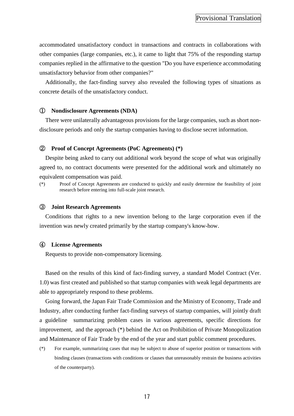accommodated unsatisfactory conduct in transactions and contracts in collaborations with other companies (large companies, etc.), it came to light that 75% of the responding startup companies replied in the affirmative to the question "Do you have experience accommodating unsatisfactory behavior from other companies?"

Additionally, the fact-finding survey also revealed the following types of situations as concrete details of the unsatisfactory conduct.

#### ① **Nondisclosure Agreements (NDA)**

There were unilaterally advantageous provisions for the large companies, such as short nondisclosure periods and only the startup companies having to disclose secret information.

#### ② **Proof of Concept Agreements (PoC Agreements) (\*)**

Despite being asked to carry out additional work beyond the scope of what was originally agreed to, no contract documents were presented for the additional work and ultimately no equivalent compensation was paid.

(\*) Proof of Concept Agreements are conducted to quickly and easily determine the feasibility of joint research before entering into full-scale joint research.

#### ③ **Joint Research Agreements**

Conditions that rights to a new invention belong to the large corporation even if the invention was newly created primarily by the startup company's know-how.

#### ④ **License Agreements**

Requests to provide non-compensatory licensing.

Based on the results of this kind of fact-finding survey, a standard Model Contract (Ver. 1.0) was first created and published so that startup companies with weak legal departments are able to appropriately respond to these problems.

Going forward, the Japan Fair Trade Commission and the Ministry of Economy, Trade and Industry, after conducting further fact-finding surveys of startup companies, will jointly draft a guideline summarizing problem cases in various agreements, specific directions for improvement, and the approach (\*) behind the Act on Prohibition of Private Monopolization and Maintenance of Fair Trade by the end of the year and start public comment procedures.

(\*) For example, summarizing cases that may be subject to abuse of superior position or transactions with binding clauses (transactions with conditions or clauses that unreasonably restrain the business activities of the counterparty).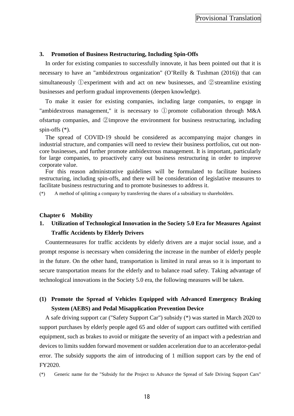#### <span id="page-19-0"></span>**3. Promotion of Business Restructuring, Including Spin-Offs**

In order for existing companies to successfully innovate, it has been pointed out that it is necessary to have an "ambidextrous organization" (O'Reilly & Tushman (2016)) that can simultaneously ①experiment with and act on new businesses, and ②streamline existing businesses and perform gradual improvements (deepen knowledge).

To make it easier for existing companies, including large companies, to engage in "ambidextrous management," it is necessary to ①promote collaboration through M&A ofstartup companies, and ②improve the environment for business restructuring, including spin-offs (\*).

The spread of COVID-19 should be considered as accompanying major changes in industrial structure, and companies will need to review their business portfolios, cut out noncore businesses, and further promote ambidextrous management. It is important, particularly for large companies, to proactively carry out business restructuring in order to improve corporate value.

For this reason administrative guidelines will be formulated to facilitate business restructuring, including spin-offs, and there will be consideration of legislative measures to facilitate business restructuring and to promote businesses to address it.

(\*) A method of splitting a company by transferring the shares of a subsidiary to shareholders.

#### <span id="page-19-1"></span>**Chapter 6 Mobility**

# <span id="page-19-2"></span>**1. Utilization of Technological Innovation in the Society 5.0 Era for Measures Against Traffic Accidents by Elderly Drivers**

Countermeasures for traffic accidents by elderly drivers are a major social issue, and a prompt response is necessary when considering the increase in the number of elderly people in the future. On the other hand, transportation is limited in rural areas so it is important to secure transportation means for the elderly and to balance road safety. Taking advantage of technological innovations in the Society 5.0 era, the following measures will be taken.

# **(1) Promote the Spread of Vehicles Equipped with Advanced Emergency Braking System (AEBS) and Pedal Misapplication Prevention Device**

A safe driving support car ("Safety Support Car") subsidy (\*) was started in March 2020 to support purchases by elderly people aged 65 and older of support cars outfitted with certified equipment, such as brakes to avoid or mitigate the severity of an impact with a pedestrian and devices to limits sudden forward movement or sudden acceleration due to an accelerator-pedal error. The subsidy supports the aim of introducing of 1 million support cars by the end of FY2020.

(\*) Generic name for the "Subsidy for the Project to Advance the Spread of Safe Driving Support Cars"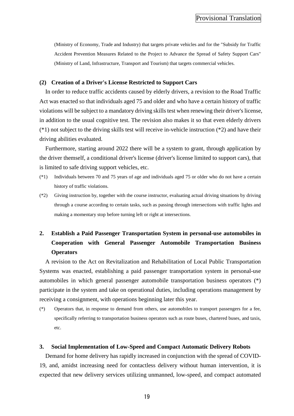(Ministry of Economy, Trade and Industry) that targets private vehicles and for the "Subsidy for Traffic Accident Prevention Measures Related to the Project to Advance the Spread of Safety Support Cars" (Ministry of Land, Infrastructure, Transport and Tourism) that targets commercial vehicles.

#### **(2) Creation of a Driver's License Restricted to Support Cars**

In order to reduce traffic accidents caused by elderly drivers, a revision to the Road Traffic Act was enacted so that individuals aged 75 and older and who have a certain history of traffic violations will be subject to a mandatory driving skills test when renewing their driver's license, in addition to the usual cognitive test. The revision also makes it so that even elderly drivers  $(*)$  not subject to the driving skills test will receive in-vehicle instruction  $(*)$  and have their driving abilities evaluated.

Furthermore, starting around 2022 there will be a system to grant, through application by the driver themself, a conditional driver's license (driver's license limited to support cars), that is limited to safe driving support vehicles, etc.

- (\*1) Individuals between 70 and 75 years of age and individuals aged 75 or older who do not have a certain history of traffic violations.
- (\*2) Giving instruction by, together with the course instructor, evaluating actual driving situations by driving through a course according to certain tasks, such as passing through intersections with traffic lights and making a momentary stop before turning left or right at intersections.

# <span id="page-20-0"></span>**2. Establish a Paid Passenger Transportation System in personal-use automobiles in Cooperation with General Passenger Automobile Transportation Business Operators**

A revision to the Act on Revitalization and Rehabilitation of Local Public Transportation Systems was enacted, establishing a paid passenger transportation system in personal-use automobiles in which general passenger automobile transportation business operators (\*) participate in the system and take on operational duties, including operations management by receiving a consignment, with operations beginning later this year.

(\*) Operators that, in response to demand from others, use automobiles to transport passengers for a fee, specifically referring to transportation business operators such as route buses, chartered buses, and taxis, etc.

#### <span id="page-20-1"></span>**3. Social Implementation of Low-Speed and Compact Automatic Delivery Robots**

Demand for home delivery has rapidly increased in conjunction with the spread of COVID-19, and, amidst increasing need for contactless delivery without human intervention, it is expected that new delivery services utilizing unmanned, low-speed, and compact automated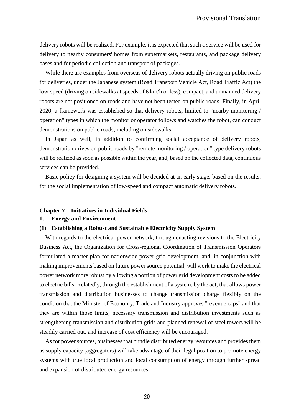delivery robots will be realized. For example, it is expected that such a service will be used for delivery to nearby consumers' homes from supermarkets, restaurants, and package delivery bases and for periodic collection and transport of packages.

While there are examples from overseas of delivery robots actually driving on public roads for deliveries, under the Japanese system (Road Transport Vehicle Act, Road Traffic Act) the low-speed (driving on sidewalks at speeds of 6 km/h or less), compact, and unmanned delivery robots are not positioned on roads and have not been tested on public roads. Finally, in April 2020, a framework was established so that delivery robots, limited to "nearby monitoring / operation" types in which the monitor or operator follows and watches the robot, can conduct demonstrations on public roads, including on sidewalks.

In Japan as well, in addition to confirming social acceptance of delivery robots, demonstration drives on public roads by "remote monitoring / operation" type delivery robots will be realized as soon as possible within the year, and, based on the collected data, continuous services can be provided.

Basic policy for designing a system will be decided at an early stage, based on the results, for the social implementation of low-speed and compact automatic delivery robots.

#### <span id="page-21-0"></span>**Chapter 7 Initiatives in Individual Fields**

#### <span id="page-21-1"></span>**1. Energy and Environment**

#### **(1) Establishing a Robust and Sustainable Electricity Supply System**

With regards to the electrical power network, through enacting revisions to the Electricity Business Act, the Organization for Cross-regional Coordination of Transmission Operators formulated a master plan for nationwide power grid development, and, in conjunction with making improvements based on future power source potential, will work to make the electrical power network more robust by allowing a portion of power grid development costs to be added to electric bills. Relatedly, through the establishment of a system, by the act, that allows power transmission and distribution businesses to change transmission charge flexibly on the condition that the Minister of Economy, Trade and Industry approves "revenue caps" and that they are within those limits, necessary transmission and distribution investments such as strengthening transmission and distribution grids and planned renewal of steel towers will be steadily carried out, and increase of cost efficiency will be encouraged.

As for power sources, businesses that bundle distributed energy resources and provides them as supply capacity (aggregators) will take advantage of their legal position to promote energy systems with true local production and local consumption of energy through further spread and expansion of distributed energy resources.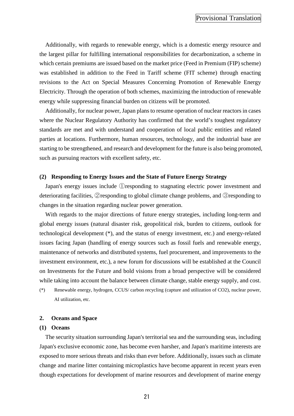Additionally, with regards to renewable energy, which is a domestic energy resource and the largest pillar for fulfilling international responsibilities for decarbonization, a scheme in which certain premiums are issued based on the market price (Feed in Premium (FIP) scheme) was established in addition to the Feed in Tariff scheme (FIT scheme) through enacting revisions to the Act on Special Measures Concerning Promotion of Renewable Energy Electricity. Through the operation of both schemes, maximizing the introduction of renewable energy while suppressing financial burden on citizens will be promoted.

Additionally, for nuclear power, Japan plans to resume operation of nuclear reactors in cases where the Nuclear Regulatory Authority has confirmed that the world's toughest regulatory standards are met and with understand and cooperation of local public entities and related parties at locations. Furthermore, human resources, technology, and the industrial base are starting to be strengthened, and research and development for the future is also being promoted, such as pursuing reactors with excellent safety, etc.

#### **(2) Responding to Energy Issues and the State of Future Energy Strategy**

Japan's energy issues include ①responding to stagnating electric power investment and deteriorating facilities, ②responding to global climate change problems, and ③responding to changes in the situation regarding nuclear power generation.

With regards to the major directions of future energy strategies, including long-term and global energy issues (natural disaster risk, geopolitical risk, burden to citizens, outlook for technological development (\*), and the status of energy investment, etc.) and energy-related issues facing Japan (handling of energy sources such as fossil fuels and renewable energy, maintenance of networks and distributed systems, fuel procurement, and improvements to the investment environment, etc.), a new forum for discussions will be established at the Council on Investments for the Future and bold visions from a broad perspective will be considered while taking into account the balance between climate change, stable energy supply, and cost.

(\*) Renewable energy, hydrogen, CCUS/ carbon recycling (capture and utilization of CO2), nuclear power, AI utilization, etc.

#### <span id="page-22-0"></span>**2. Oceans and Space**

#### **(1) Oceans**

The security situation surrounding Japan's territorial sea and the surrounding seas, including Japan's exclusive economic zone, has become even harsher, and Japan's maritime interests are exposed to more serious threats and risks than ever before. Additionally, issues such as climate change and marine litter containing microplastics have become apparent in recent years even though expectations for development of marine resources and development of marine energy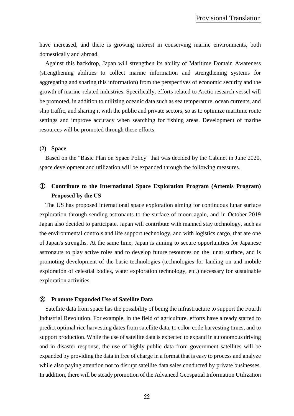have increased, and there is growing interest in conserving marine environments, both domestically and abroad.

Against this backdrop, Japan will strengthen its ability of Maritime Domain Awareness (strengthening abilities to collect marine information and strengthening systems for aggregating and sharing this information) from the perspectives of economic security and the growth of marine-related industries. Specifically, efforts related to Arctic research vessel will be promoted, in addition to utilizing oceanic data such as sea temperature, ocean currents, and ship traffic, and sharing it with the public and private sectors, so as to optimize maritime route settings and improve accuracy when searching for fishing areas. Development of marine resources will be promoted through these efforts.

#### **(2) Space**

Based on the "Basic Plan on Space Policy" that was decided by the Cabinet in June 2020, space development and utilization will be expanded through the following measures.

# ① **Contribute to the International Space Exploration Program (Artemis Program) Proposed by the US**

The US has proposed international space exploration aiming for continuous lunar surface exploration through sending astronauts to the surface of moon again, and in October 2019 Japan also decided to participate. Japan will contribute with manned stay technology, such as the environmental controls and life support technology, and with logistics cargo, that are one of Japan's strengths. At the same time, Japan is aiming to secure opportunities for Japanese astronauts to play active roles and to develop future resources on the lunar surface, and is promoting development of the basic technologies (technologies for landing on and mobile exploration of celestial bodies, water exploration technology, etc.) necessary for sustainable exploration activities.

#### ② **Promote Expanded Use of Satellite Data**

Satellite data from space has the possibility of being the infrastructure to support the Fourth Industrial Revolution. For example, in the field of agriculture, efforts have already started to predict optimal rice harvesting dates from satellite data, to color-code harvesting times, and to support production. While the use of satellite data is expected to expand in autonomous driving and in disaster response, the use of highly public data from government satellites will be expanded by providing the data in free of charge in a format that is easy to process and analyze while also paying attention not to disrupt satellite data sales conducted by private businesses. In addition, there will be steady promotion of the Advanced Geospatial Information Utilization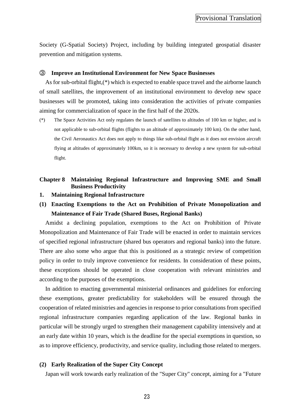Society (G-Spatial Society) Project, including by building integrated geospatial disaster prevention and mitigation systems.

#### ③ **Improve an Institutional Environment for New Space Businesses**

As for sub-orbital flight,(\*) which is expected to enable space travel and the airborne launch of small satellites, the improvement of an institutional environment to develop new space businesses will be promoted, taking into consideration the activities of private companies aiming for commercialization of space in the first half of the 2020s.

(\*) The Space Activities Act only regulates the launch of satellites to altitudes of 100 km or higher, and is not applicable to sub-orbital flights (flights to an altitude of approximately 100 km). On the other hand, the Civil Aeronautics Act does not apply to things like sub-orbital flight as it does not envision aircraft flying at altitudes of approximately 100km, so it is necessary to develop a new system for sub-orbital flight.

### <span id="page-24-0"></span>**Chapter 8 Maintaining Regional Infrastructure and Improving SME and Small Business Productivity**

- <span id="page-24-1"></span>**1. Maintaining Regional Infrastructure**
- **(1) Enacting Exemptions to the Act on Prohibition of Private Monopolization and Maintenance of Fair Trade (Shared Buses, Regional Banks)**

Amidst a declining population, exemptions to the Act on Prohibition of Private Monopolization and Maintenance of Fair Trade will be enacted in order to maintain services of specified regional infrastructure (shared bus operators and regional banks) into the future. There are also some who argue that this is positioned as a strategic review of competition policy in order to truly improve convenience for residents. In consideration of these points, these exceptions should be operated in close cooperation with relevant ministries and according to the purposes of the exemptions.

In addition to enacting governmental ministerial ordinances and guidelines for enforcing these exemptions, greater predictability for stakeholders will be ensured through the cooperation of related ministries and agencies in response to prior consultations from specified regional infrastructure companies regarding application of the law. Regional banks in particular will be strongly urged to strengthen their management capability intensively and at an early date within 10 years, which is the deadline for the special exemptions in question, so as to improve efficiency, productivity, and service quality, including those related to mergers.

#### **(2) Early Realization of the Super City Concept**

Japan will work towards early realization of the "Super City" concept, aiming for a "Future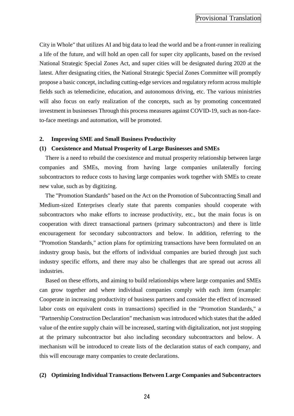City in Whole" that utilizes AI and big data to lead the world and be a front-runner in realizing a life of the future, and will hold an open call for super city applicants, based on the revised National Strategic Special Zones Act, and super cities will be designated during 2020 at the latest. After designating cities, the National Strategic Special Zones Committee will promptly propose a basic concept, including cutting-edge services and regulatory reform across multiple fields such as telemedicine, education, and autonomous driving, etc. The various ministries will also focus on early realization of the concepts, such as by promoting concentrated investment in businesses Through this process measures against COVID-19, such as non-faceto-face meetings and automation, will be promoted.

#### <span id="page-25-0"></span>**2. Improving SME and Small Business Productivity**

#### **(1) Coexistence and Mutual Prosperity of Large Businesses and SMEs**

There is a need to rebuild the coexistence and mutual prosperity relationship between large companies and SMEs, moving from having large companies unilaterally forcing subcontractors to reduce costs to having large companies work together with SMEs to create new value, such as by digitizing.

The "Promotion Standards" based on the Act on the Promotion of Subcontracting Small and Medium-sized Enterprises clearly state that parents companies should cooperate with subcontractors who make efforts to increase productivity, etc., but the main focus is on cooperation with direct transactional partners (primary subcontractors) and there is little encouragement for secondary subcontractors and below. In addition, referring to the "Promotion Standards," action plans for optimizing transactions have been formulated on an industry group basis, but the efforts of individual companies are buried through just such industry specific efforts, and there may also be challenges that are spread out across all industries.

Based on these efforts, and aiming to build relationships where large companies and SMEs can grow together and where individual companies comply with each item (example: Cooperate in increasing productivity of business partners and consider the effect of increased labor costs on equivalent costs in transactions) specified in the "Promotion Standards," a "Partnership Construction Declaration" mechanism was introduced which states that the added value of the entire supply chain will be increased, starting with digitalization, not just stopping at the primary subcontractor but also including secondary subcontractors and below. A mechanism will be introduced to create lists of the declaration status of each company, and this will encourage many companies to create declarations.

#### **(2) Optimizing Individual Transactions Between Large Companies and Subcontractors**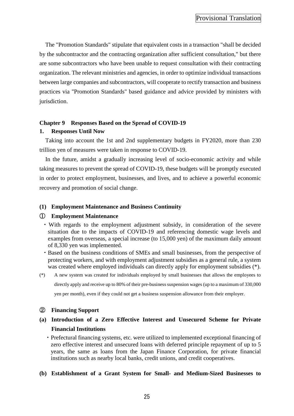The "Promotion Standards" stipulate that equivalent costs in a transaction "shall be decided by the subcontractor and the contracting organization after sufficient consultation," but there are some subcontractors who have been unable to request consultation with their contracting organization. The relevant ministries and agencies, in order to optimize individual transactions between large companies and subcontractors, will cooperate to rectify transaction and business practices via "Promotion Standards" based guidance and advice provided by ministers with jurisdiction.

#### <span id="page-26-0"></span>**Chapter 9 Responses Based on the Spread of COVID-19**

#### <span id="page-26-1"></span>**1. Responses Until Now**

Taking into account the 1st and 2nd supplementary budgets in FY2020, more than 230 trillion yen of measures were taken in response to COVID-19.

In the future, amidst a gradually increasing level of socio-economic activity and while taking measures to prevent the spread of COVID-19, these budgets will be promptly executed in order to protect employment, businesses, and lives, and to achieve a powerful economic recovery and promotion of social change.

#### **(1) Employment Maintenance and Business Continuity**

#### ① **Employment Maintenance**

- ・With regards to the employment adjustment subsidy, in consideration of the severe situation due to the impacts of COVID-19 and referencing domestic wage levels and examples from overseas, a special increase (to 15,000 yen) of the maximum daily amount of 8,330 yen was implemented.
- ・Based on the business conditions of SMEs and small businesses, from the perspective of protecting workers, and with employment adjustment subsidies as a general rule, a system was created where employed individuals can directly apply for employment subsidies  $(*)$ .
- (\*) A new system was created for individuals employed by small businesses that allows the employees to directly apply and receive up to 80% of their pre-business suspension wages (up to a maximum of 330,000 yen per month), even if they could not get a business suspension allowance from their employer.

#### ② **Financing Support**

- **(a) Introduction of a Zero Effective Interest and Unsecured Scheme for Private Financial Institutions**
	- ・Prefectural financing systems, etc. were utilized to implemented exceptional financing of zero effective interest and unsecured loans with deferred principle repayment of up to 5 years, the same as loans from the Japan Finance Corporation, for private financial institutions such as nearby local banks, credit unions, and credit cooperatives.

#### **(b) Establishment of a Grant System for Small- and Medium-Sized Businesses to**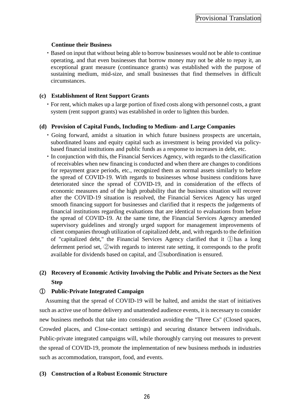### **Continue their Business**

・Based on input that without being able to borrow businesses would not be able to continue operating, and that even businesses that borrow money may not be able to repay it, an exceptional grant measure (continuance grants) was established with the purpose of sustaining medium, mid-size, and small businesses that find themselves in difficult circumstances.

### **(c) Establishment of Rent Support Grants**

・For rent, which makes up a large portion of fixed costs along with personnel costs, a grant system (rent support grants) was established in order to lighten this burden.

### **(d) Provision of Capital Funds, Including to Medium- and Large Companies**

- ・Going forward, amidst a situation in which future business prospects are uncertain, subordinated loans and equity capital such as investment is being provided via policybased financial institutions and public funds as a response to increases in debt, etc.
- ・In conjunction with this, the Financial Services Agency, with regards to the classification of receivables when new financing is conducted and when there are changes to conditions for repayment grace periods, etc., recognized them as normal assets similarly to before the spread of COVID-19. With regards to businesses whose business conditions have deteriorated since the spread of COVID-19, and in consideration of the effects of economic measures and of the high probability that the business situation will recover after the COVID-19 situation is resolved, the Financial Services Agency has urged smooth financing support for businesses and clarified that it respects the judgements of financial institutions regarding evaluations that are identical to evaluations from before the spread of COVID-19. At the same time, the Financial Services Agency amended supervisory guidelines and strongly urged support for management improvements of client companies through utilization of capitalized debt, and, with regards to the definition of "capitalized debt," the Financial Services Agency clarified that it ①has a long deferment period set, ②with regards to interest rate setting, it corresponds to the profit available for dividends based on capital, and ③subordination is ensured.

# **(2) Recovery of Economic Activity Involving the Public and Private Sectors as the Next Step**

### ① **Public-Private Integrated Campaign**

Assuming that the spread of COVID-19 will be halted, and amidst the start of initiatives such as active use of home delivery and unattended audience events, it is necessary to consider new business methods that take into consideration avoiding the "Three Cs" (Closed spaces, Crowded places, and Close-contact settings) and securing distance between individuals. Public-private integrated campaigns will, while thoroughly carrying out measures to prevent the spread of COVID-19, promote the implementation of new business methods in industries such as accommodation, transport, food, and events.

### **(3) Construction of a Robust Economic Structure**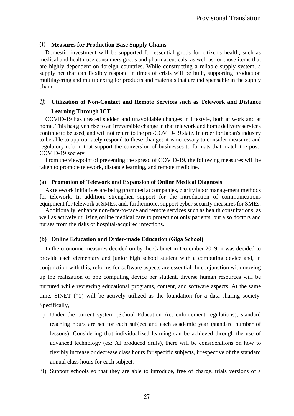### ① **Measures for Production Base Supply Chains**

Domestic investment will be supported for essential goods for citizen's health, such as medical and health-use consumers goods and pharmaceuticals, as well as for those items that are highly dependent on foreign countries. While constructing a reliable supply system, a supply net that can flexibly respond in times of crisis will be built, supporting production multilayering and multiplexing for products and materials that are indispensable in the supply chain.

# ② **Utilization of Non-Contact and Remote Services such as Telework and Distance Learning Through ICT**

COVID-19 has created sudden and unavoidable changes in lifestyle, both at work and at home. This has given rise to an irreversible change in that telework and home delivery services continue to be used, and will not return to the pre-COVID-19 state. In order for Japan's industry to be able to appropriately respond to these changes it is necessary to consider measures and regulatory reform that support the conversion of businesses to formats that match the post-COVID-19 society.

From the viewpoint of preventing the spread of COVID-19, the following measures will be taken to promote telework, distance learning, and remote medicine.

#### **(a) Promotion of Telework and Expansion of Online Medical Diagnosis**

As telework initiatives are being promoted at companies, clarify labor management methods for telework. In addition, strengthen support for the introduction of communications equipment for telework at SMEs, and, furthermore, support cyber security measures for SMEs.

Additionally, enhance non-face-to-face and remote services such as health consultations, as well as actively utilizing online medical care to protect not only patients, but also doctors and nurses from the risks of hospital-acquired infections.

#### **(b) Online Education and Order-made Education (Giga School)**

In the economic measures decided on by the Cabinet in December 2019, it was decided to provide each elementary and junior high school student with a computing device and, in conjunction with this, reforms for software aspects are essential. In conjunction with moving up the realization of one computing device per student, diverse human resources will be nurtured while reviewing educational programs, content, and software aspects. At the same time, SINET (\*1) will be actively utilized as the foundation for a data sharing society. Specifically,

- i) Under the current system (School Education Act enforcement regulations), standard teaching hours are set for each subject and each academic year (standard number of lessons). Considering that individualized learning can be achieved through the use of advanced technology (ex: AI produced drills), there will be considerations on how to flexibly increase or decrease class hours for specific subjects, irrespective of the standard annual class hours for each subject.
- ii) Support schools so that they are able to introduce, free of charge, trials versions of a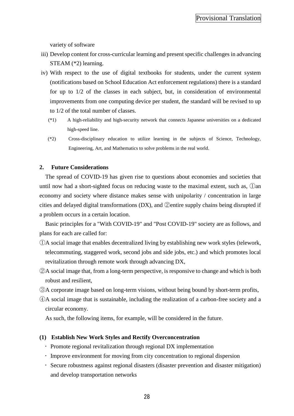variety of software

- iii) Develop content for cross-curricular learning and present specific challenges in advancing STEAM (\*2) learning.
- iv) With respect to the use of digital textbooks for students, under the current system (notifications based on School Education Act enforcement regulations) there is a standard for up to 1/2 of the classes in each subject, but, in consideration of environmental improvements from one computing device per student, the standard will be revised to up to 1/2 of the total number of classes.
	- (\*1) A high-reliability and high-security network that connects Japanese universities on a dedicated high-speed line.
	- (\*2) Cross-disciplinary education to utilize learning in the subjects of Science, Technology, Engineering, Art, and Mathematics to solve problems in the real world.

#### <span id="page-29-0"></span>**2. Future Considerations**

The spread of COVID-19 has given rise to questions about economies and societies that until now had a short-sighted focus on reducing waste to the maximal extent, such as, ①an economy and society where distance makes sense with unipolarity / concentration in large cities and delayed digital transformations (DX), and ②entire supply chains being disrupted if a problem occurs in a certain location.

Basic principles for a "With COVID-19" and "Post COVID-19" society are as follows, and plans for each are called for:

- ①A social image that enables decentralized living by establishing new work styles (telework, telecommuting, staggered work, second jobs and side jobs, etc.) and which promotes local revitalization through remote work through advancing DX,
- ②A social image that, from a long-term perspective, is responsive to change and which is both robust and resilient,
- ③A corporate image based on long-term visions, without being bound by short-term profits,
- ④A social image that is sustainable, including the realization of a carbon-free society and a circular economy.

As such, the following items, for example, will be considered in the future.

#### **(1) Establish New Work Styles and Rectify Overconcentration**

- Promote regional revitalization through regional DX implementation
- Improve environment for moving from city concentration to regional dispersion
- Secure robustness against regional disasters (disaster prevention and disaster mitigation) and develop transportation networks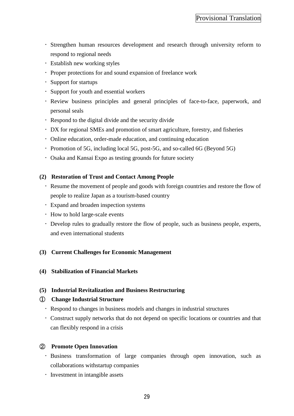- Strengthen human resources development and research through university reform to respond to regional needs
- Establish new working styles
- Proper protections for and sound expansion of freelance work
- Support for startups
- Support for youth and essential workers
- Review business principles and general principles of face-to-face, paperwork, and personal seals
- Respond to the digital divide and the security divide
- DX for regional SMEs and promotion of smart agriculture, forestry, and fisheries
- Online education, order-made education, and continuing education
- Promotion of 5G, including local 5G, post-5G, and so-called 6G (Beyond 5G)
- Osaka and Kansai Expo as testing grounds for future society

### **(2) Restoration of Trust and Contact Among People**

- Resume the movement of people and goods with foreign countries and restore the flow of people to realize Japan as a tourism-based country
- Expand and broaden inspection systems
- How to hold large-scale events
- Develop rules to gradually restore the flow of people, such as business people, experts, and even international students

### **(3) Current Challenges for Economic Management**

**(4) Stabilization of Financial Markets**

### **(5) Industrial Revitalization and Business Restructuring**

### ① **Change Industrial Structure**

- Respond to changes in business models and changes in industrial structures
- Construct supply networks that do not depend on specific locations or countries and that can flexibly respond in a crisis

# ② **Promote Open Innovation**

- Business transformation of large companies through open innovation, such as collaborations withstartup companies
- **·** Investment in intangible assets